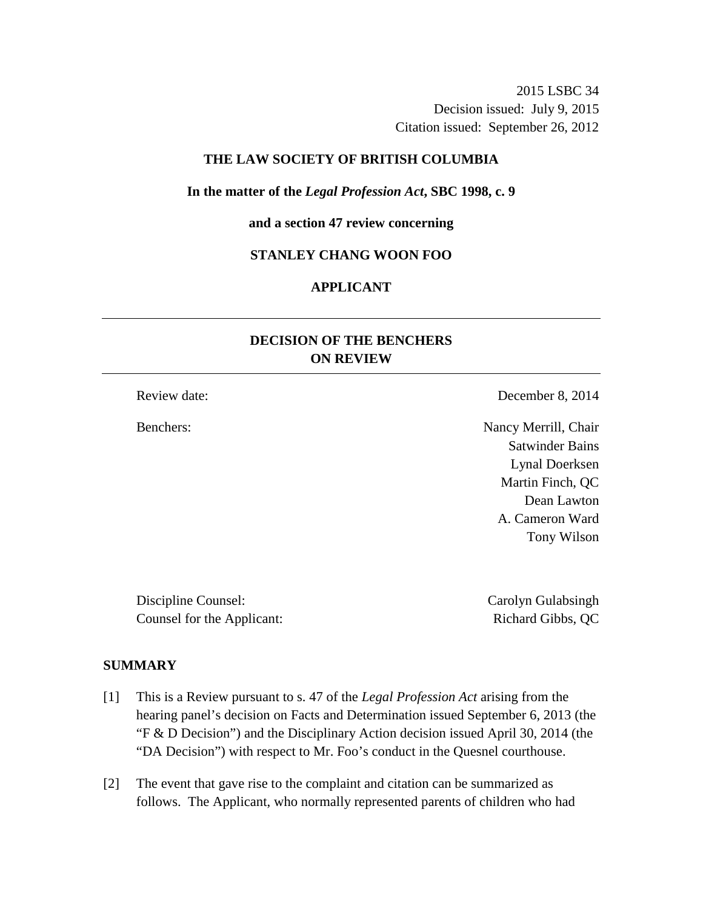2015 LSBC 34 Decision issued: July 9, 2015 Citation issued: September 26, 2012

## **THE LAW SOCIETY OF BRITISH COLUMBIA**

#### **In the matter of the** *Legal Profession Act***, SBC 1998, c. 9**

### **and a section 47 review concerning**

### **STANLEY CHANG WOON FOO**

# **APPLICANT**

# **DECISION OF THE BENCHERS ON REVIEW**

Review date: December 8, 2014

Benchers: Nancy Merrill, Chair Satwinder Bains Lynal Doerksen Martin Finch, QC Dean Lawton A. Cameron Ward Tony Wilson

Discipline Counsel: Carolyn Gulabsingh Counsel for the Applicant: Richard Gibbs, QC

#### **SUMMARY**

- [1] This is a Review pursuant to s. 47 of the *Legal Profession Act* arising from the hearing panel's decision on Facts and Determination issued September 6, 2013 (the "F & D Decision") and the Disciplinary Action decision issued April 30, 2014 (the "DA Decision") with respect to Mr. Foo's conduct in the Quesnel courthouse.
- [2] The event that gave rise to the complaint and citation can be summarized as follows. The Applicant, who normally represented parents of children who had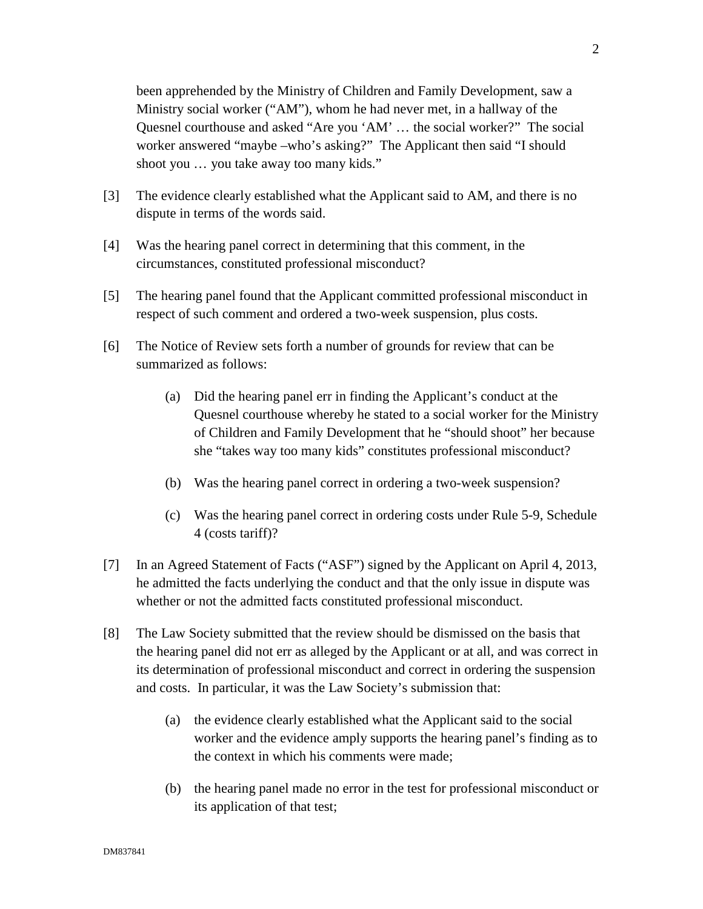been apprehended by the Ministry of Children and Family Development, saw a Ministry social worker ("AM"), whom he had never met, in a hallway of the Quesnel courthouse and asked "Are you 'AM' … the social worker?" The social worker answered "maybe –who's asking?" The Applicant then said "I should shoot you … you take away too many kids."

- [3] The evidence clearly established what the Applicant said to AM, and there is no dispute in terms of the words said.
- [4] Was the hearing panel correct in determining that this comment, in the circumstances, constituted professional misconduct?
- [5] The hearing panel found that the Applicant committed professional misconduct in respect of such comment and ordered a two-week suspension, plus costs.
- [6] The Notice of Review sets forth a number of grounds for review that can be summarized as follows:
	- (a) Did the hearing panel err in finding the Applicant's conduct at the Quesnel courthouse whereby he stated to a social worker for the Ministry of Children and Family Development that he "should shoot" her because she "takes way too many kids" constitutes professional misconduct?
	- (b) Was the hearing panel correct in ordering a two-week suspension?
	- (c) Was the hearing panel correct in ordering costs under Rule 5-9, Schedule 4 (costs tariff)?
- [7] In an Agreed Statement of Facts ("ASF") signed by the Applicant on April 4, 2013, he admitted the facts underlying the conduct and that the only issue in dispute was whether or not the admitted facts constituted professional misconduct.
- [8] The Law Society submitted that the review should be dismissed on the basis that the hearing panel did not err as alleged by the Applicant or at all, and was correct in its determination of professional misconduct and correct in ordering the suspension and costs. In particular, it was the Law Society's submission that:
	- (a) the evidence clearly established what the Applicant said to the social worker and the evidence amply supports the hearing panel's finding as to the context in which his comments were made;
	- (b) the hearing panel made no error in the test for professional misconduct or its application of that test;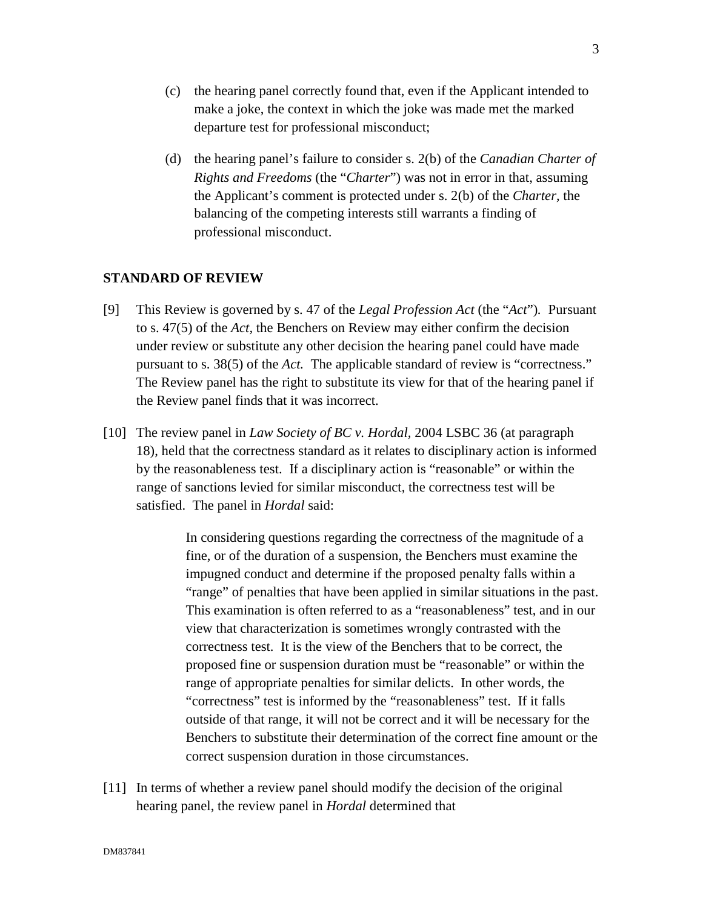- (c) the hearing panel correctly found that, even if the Applicant intended to make a joke, the context in which the joke was made met the marked departure test for professional misconduct;
- (d) the hearing panel's failure to consider s. 2(b) of the *Canadian Charter of Rights and Freedoms* (the "*Charter*") was not in error in that, assuming the Applicant's comment is protected under s. 2(b) of the *Charter,* the balancing of the competing interests still warrants a finding of professional misconduct.

# **STANDARD OF REVIEW**

- [9] This Review is governed by s. 47 of the *Legal Profession Act* (the "*Act*")*.* Pursuant to s. 47(5) of the *Act,* the Benchers on Review may either confirm the decision under review or substitute any other decision the hearing panel could have made pursuant to s. 38(5) of the *Act.* The applicable standard of review is "correctness." The Review panel has the right to substitute its view for that of the hearing panel if the Review panel finds that it was incorrect.
- [10] The review panel in *Law Society of BC v. Hordal,* 2004 LSBC 36 (at paragraph 18), held that the correctness standard as it relates to disciplinary action is informed by the reasonableness test. If a disciplinary action is "reasonable" or within the range of sanctions levied for similar misconduct, the correctness test will be satisfied. The panel in *Hordal* said:

In considering questions regarding the correctness of the magnitude of a fine, or of the duration of a suspension, the Benchers must examine the impugned conduct and determine if the proposed penalty falls within a "range" of penalties that have been applied in similar situations in the past. This examination is often referred to as a "reasonableness" test, and in our view that characterization is sometimes wrongly contrasted with the correctness test. It is the view of the Benchers that to be correct, the proposed fine or suspension duration must be "reasonable" or within the range of appropriate penalties for similar delicts. In other words, the "correctness" test is informed by the "reasonableness" test. If it falls outside of that range, it will not be correct and it will be necessary for the Benchers to substitute their determination of the correct fine amount or the correct suspension duration in those circumstances.

[11] In terms of whether a review panel should modify the decision of the original hearing panel, the review panel in *Hordal* determined that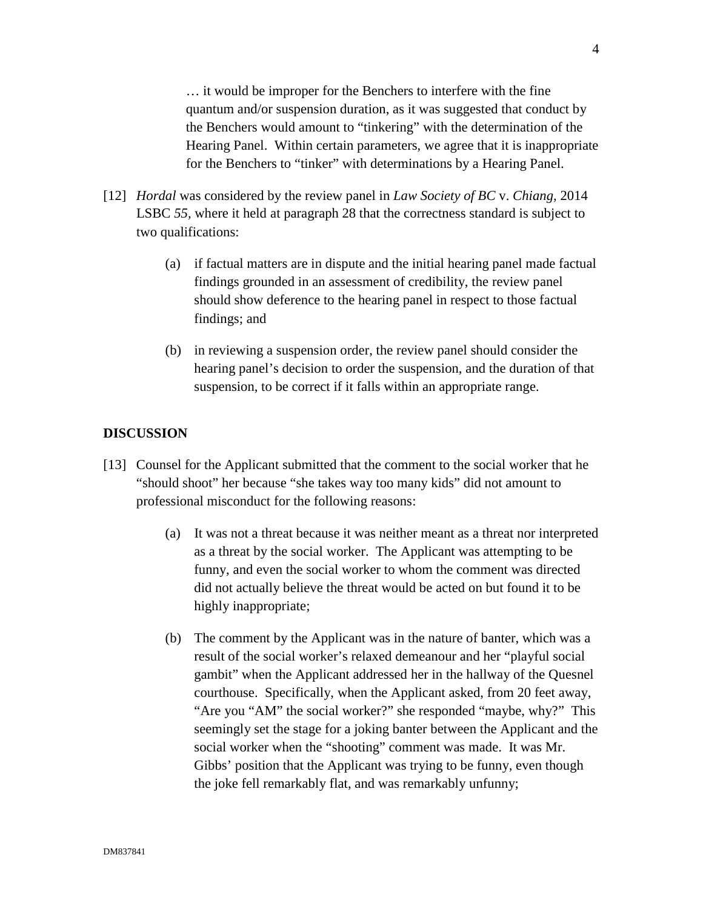… it would be improper for the Benchers to interfere with the fine quantum and/or suspension duration, as it was suggested that conduct by the Benchers would amount to "tinkering" with the determination of the Hearing Panel. Within certain parameters, we agree that it is inappropriate for the Benchers to "tinker" with determinations by a Hearing Panel.

- [12] *Hordal* was considered by the review panel in *Law Society of BC* v. *Chiang,* 2014 LSBC *55,* where it held at paragraph 28 that the correctness standard is subject to two qualifications:
	- (a) if factual matters are in dispute and the initial hearing panel made factual findings grounded in an assessment of credibility, the review panel should show deference to the hearing panel in respect to those factual findings; and
	- (b) in reviewing a suspension order, the review panel should consider the hearing panel's decision to order the suspension, and the duration of that suspension, to be correct if it falls within an appropriate range.

### **DISCUSSION**

- [13] Counsel for the Applicant submitted that the comment to the social worker that he "should shoot" her because "she takes way too many kids" did not amount to professional misconduct for the following reasons:
	- (a) It was not a threat because it was neither meant as a threat nor interpreted as a threat by the social worker. The Applicant was attempting to be funny, and even the social worker to whom the comment was directed did not actually believe the threat would be acted on but found it to be highly inappropriate;
	- (b) The comment by the Applicant was in the nature of banter, which was a result of the social worker's relaxed demeanour and her "playful social gambit" when the Applicant addressed her in the hallway of the Quesnel courthouse. Specifically, when the Applicant asked, from 20 feet away, "Are you "AM" the social worker?" she responded "maybe, why?" This seemingly set the stage for a joking banter between the Applicant and the social worker when the "shooting" comment was made. It was Mr. Gibbs' position that the Applicant was trying to be funny, even though the joke fell remarkably flat, and was remarkably unfunny;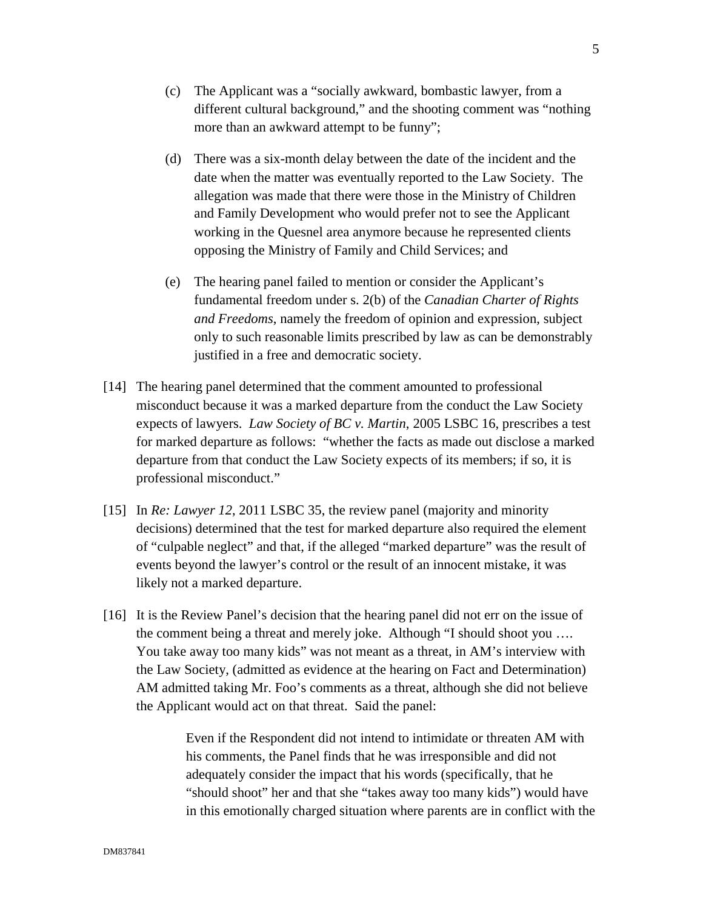- (c) The Applicant was a "socially awkward, bombastic lawyer, from a different cultural background," and the shooting comment was "nothing more than an awkward attempt to be funny";
- (d) There was a six-month delay between the date of the incident and the date when the matter was eventually reported to the Law Society. The allegation was made that there were those in the Ministry of Children and Family Development who would prefer not to see the Applicant working in the Quesnel area anymore because he represented clients opposing the Ministry of Family and Child Services; and
- (e) The hearing panel failed to mention or consider the Applicant's fundamental freedom under s. 2(b) of the *Canadian Charter of Rights and Freedoms*, namely the freedom of opinion and expression, subject only to such reasonable limits prescribed by law as can be demonstrably justified in a free and democratic society.
- [14] The hearing panel determined that the comment amounted to professional misconduct because it was a marked departure from the conduct the Law Society expects of lawyers. *Law Society of BC v. Martin*, 2005 LSBC 16, prescribes a test for marked departure as follows: "whether the facts as made out disclose a marked departure from that conduct the Law Society expects of its members; if so, it is professional misconduct."
- [15] In *Re: Lawyer 12*, 2011 LSBC 35, the review panel (majority and minority decisions) determined that the test for marked departure also required the element of "culpable neglect" and that, if the alleged "marked departure" was the result of events beyond the lawyer's control or the result of an innocent mistake, it was likely not a marked departure.
- [16] It is the Review Panel's decision that the hearing panel did not err on the issue of the comment being a threat and merely joke. Although "I should shoot you …. You take away too many kids" was not meant as a threat, in AM's interview with the Law Society, (admitted as evidence at the hearing on Fact and Determination) AM admitted taking Mr. Foo's comments as a threat, although she did not believe the Applicant would act on that threat. Said the panel:

Even if the Respondent did not intend to intimidate or threaten AM with his comments, the Panel finds that he was irresponsible and did not adequately consider the impact that his words (specifically, that he "should shoot" her and that she "takes away too many kids") would have in this emotionally charged situation where parents are in conflict with the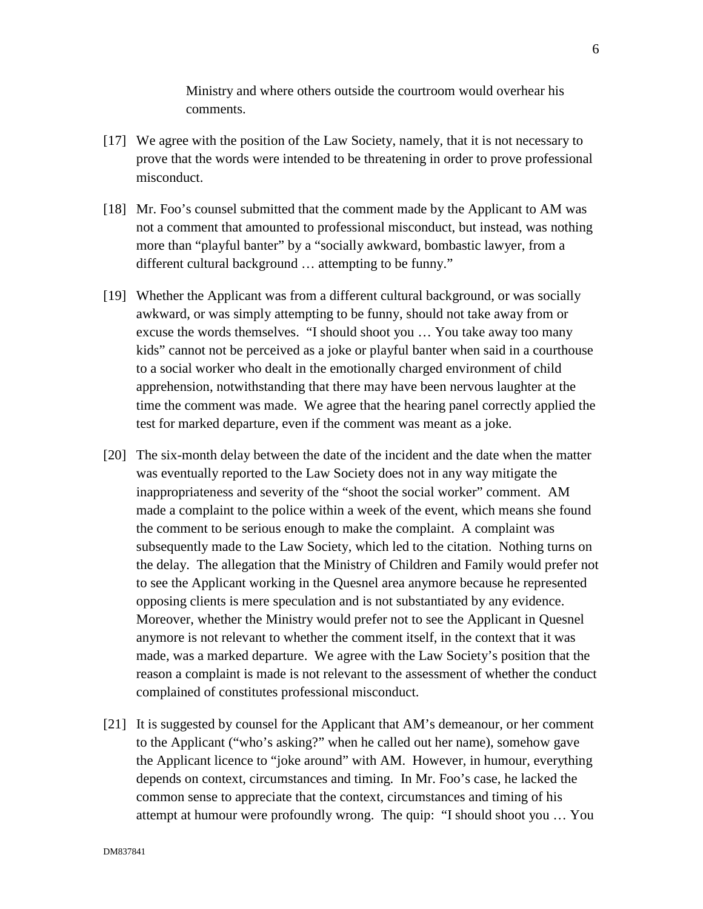Ministry and where others outside the courtroom would overhear his comments.

- [17] We agree with the position of the Law Society, namely, that it is not necessary to prove that the words were intended to be threatening in order to prove professional misconduct.
- [18] Mr. Foo's counsel submitted that the comment made by the Applicant to AM was not a comment that amounted to professional misconduct, but instead, was nothing more than "playful banter" by a "socially awkward, bombastic lawyer, from a different cultural background … attempting to be funny."
- [19] Whether the Applicant was from a different cultural background, or was socially awkward, or was simply attempting to be funny, should not take away from or excuse the words themselves. "I should shoot you … You take away too many kids" cannot not be perceived as a joke or playful banter when said in a courthouse to a social worker who dealt in the emotionally charged environment of child apprehension, notwithstanding that there may have been nervous laughter at the time the comment was made. We agree that the hearing panel correctly applied the test for marked departure, even if the comment was meant as a joke.
- [20] The six-month delay between the date of the incident and the date when the matter was eventually reported to the Law Society does not in any way mitigate the inappropriateness and severity of the "shoot the social worker" comment. AM made a complaint to the police within a week of the event, which means she found the comment to be serious enough to make the complaint. A complaint was subsequently made to the Law Society, which led to the citation. Nothing turns on the delay. The allegation that the Ministry of Children and Family would prefer not to see the Applicant working in the Quesnel area anymore because he represented opposing clients is mere speculation and is not substantiated by any evidence. Moreover, whether the Ministry would prefer not to see the Applicant in Quesnel anymore is not relevant to whether the comment itself, in the context that it was made, was a marked departure. We agree with the Law Society's position that the reason a complaint is made is not relevant to the assessment of whether the conduct complained of constitutes professional misconduct.
- [21] It is suggested by counsel for the Applicant that AM's demeanour, or her comment to the Applicant ("who's asking?" when he called out her name), somehow gave the Applicant licence to "joke around" with AM. However, in humour, everything depends on context, circumstances and timing. In Mr. Foo's case, he lacked the common sense to appreciate that the context, circumstances and timing of his attempt at humour were profoundly wrong. The quip: "I should shoot you … You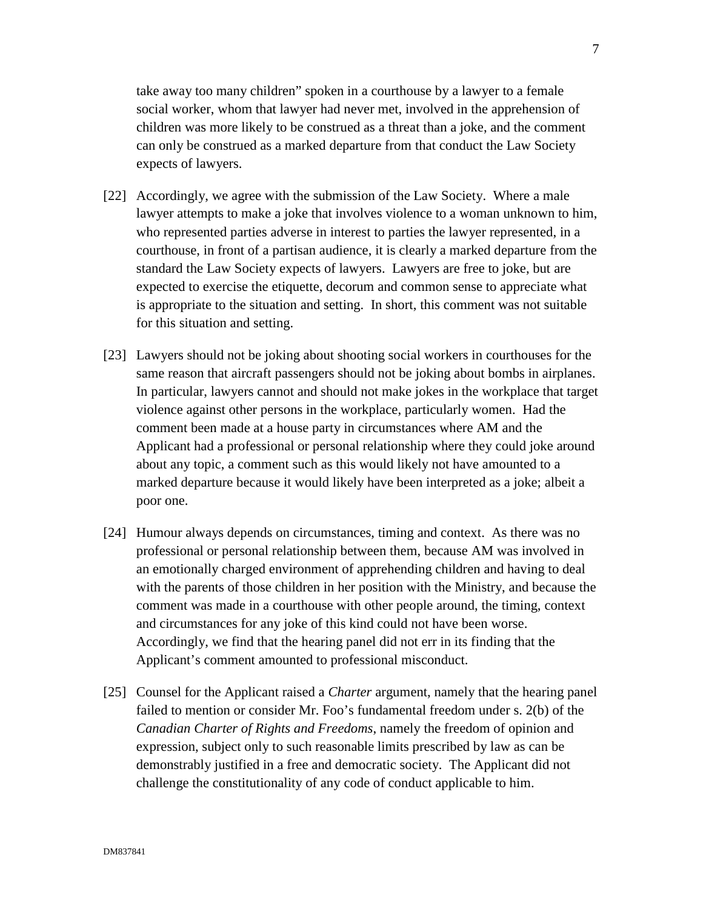take away too many children" spoken in a courthouse by a lawyer to a female social worker, whom that lawyer had never met, involved in the apprehension of children was more likely to be construed as a threat than a joke, and the comment can only be construed as a marked departure from that conduct the Law Society expects of lawyers.

- [22] Accordingly, we agree with the submission of the Law Society. Where a male lawyer attempts to make a joke that involves violence to a woman unknown to him, who represented parties adverse in interest to parties the lawyer represented, in a courthouse, in front of a partisan audience, it is clearly a marked departure from the standard the Law Society expects of lawyers. Lawyers are free to joke, but are expected to exercise the etiquette, decorum and common sense to appreciate what is appropriate to the situation and setting. In short, this comment was not suitable for this situation and setting.
- [23] Lawyers should not be joking about shooting social workers in courthouses for the same reason that aircraft passengers should not be joking about bombs in airplanes. In particular, lawyers cannot and should not make jokes in the workplace that target violence against other persons in the workplace, particularly women. Had the comment been made at a house party in circumstances where AM and the Applicant had a professional or personal relationship where they could joke around about any topic, a comment such as this would likely not have amounted to a marked departure because it would likely have been interpreted as a joke; albeit a poor one.
- [24] Humour always depends on circumstances, timing and context. As there was no professional or personal relationship between them, because AM was involved in an emotionally charged environment of apprehending children and having to deal with the parents of those children in her position with the Ministry, and because the comment was made in a courthouse with other people around, the timing, context and circumstances for any joke of this kind could not have been worse. Accordingly, we find that the hearing panel did not err in its finding that the Applicant's comment amounted to professional misconduct.
- [25] Counsel for the Applicant raised a *Charter* argument, namely that the hearing panel failed to mention or consider Mr. Foo's fundamental freedom under s. 2(b) of the *Canadian Charter of Rights and Freedoms*, namely the freedom of opinion and expression, subject only to such reasonable limits prescribed by law as can be demonstrably justified in a free and democratic society. The Applicant did not challenge the constitutionality of any code of conduct applicable to him.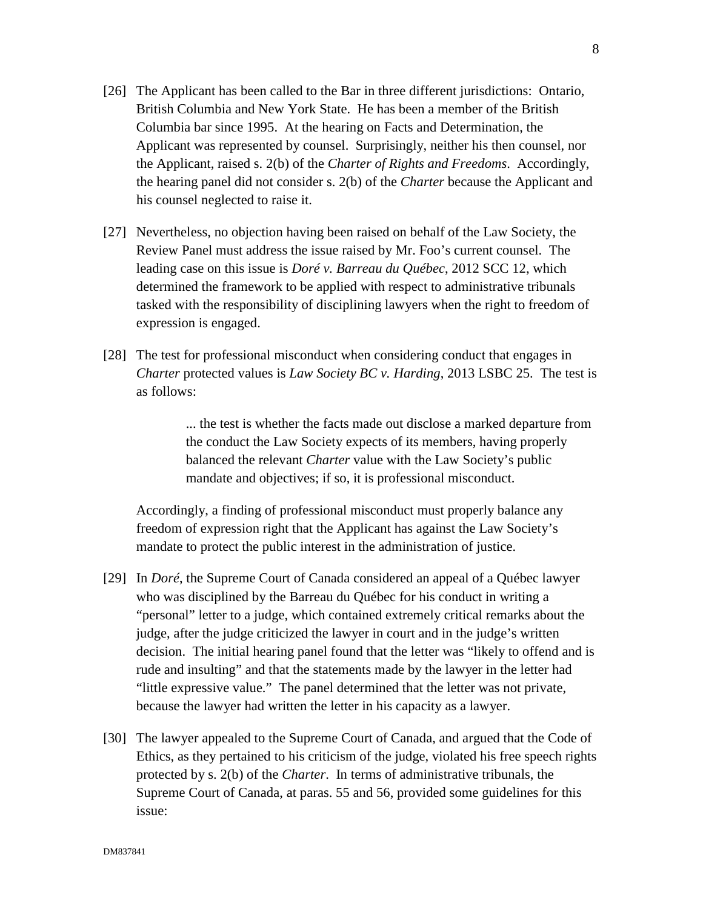- [26] The Applicant has been called to the Bar in three different jurisdictions: Ontario, British Columbia and New York State. He has been a member of the British Columbia bar since 1995. At the hearing on Facts and Determination, the Applicant was represented by counsel. Surprisingly, neither his then counsel, nor the Applicant, raised s. 2(b) of the *Charter of Rights and Freedoms*. Accordingly, the hearing panel did not consider s. 2(b) of the *Charter* because the Applicant and his counsel neglected to raise it.
- [27] Nevertheless, no objection having been raised on behalf of the Law Society, the Review Panel must address the issue raised by Mr. Foo's current counsel. The leading case on this issue is *Doré v. Barreau du Québec*, 2012 SCC 12, which determined the framework to be applied with respect to administrative tribunals tasked with the responsibility of disciplining lawyers when the right to freedom of expression is engaged.
- [28] The test for professional misconduct when considering conduct that engages in *Charter* protected values is *Law Society BC v. Harding*, 2013 LSBC 25. The test is as follows:

... the test is whether the facts made out disclose a marked departure from the conduct the Law Society expects of its members, having properly balanced the relevant *Charter* value with the Law Society's public mandate and objectives; if so, it is professional misconduct.

Accordingly, a finding of professional misconduct must properly balance any freedom of expression right that the Applicant has against the Law Society's mandate to protect the public interest in the administration of justice.

- [29] In *Doré*, the Supreme Court of Canada considered an appeal of a Québec lawyer who was disciplined by the Barreau du Québec for his conduct in writing a "personal" letter to a judge, which contained extremely critical remarks about the judge, after the judge criticized the lawyer in court and in the judge's written decision. The initial hearing panel found that the letter was "likely to offend and is rude and insulting" and that the statements made by the lawyer in the letter had "little expressive value." The panel determined that the letter was not private, because the lawyer had written the letter in his capacity as a lawyer.
- [30] The lawyer appealed to the Supreme Court of Canada, and argued that the Code of Ethics, as they pertained to his criticism of the judge, violated his free speech rights protected by s. 2(b) of the *Charter*. In terms of administrative tribunals, the Supreme Court of Canada, at paras. 55 and 56, provided some guidelines for this issue: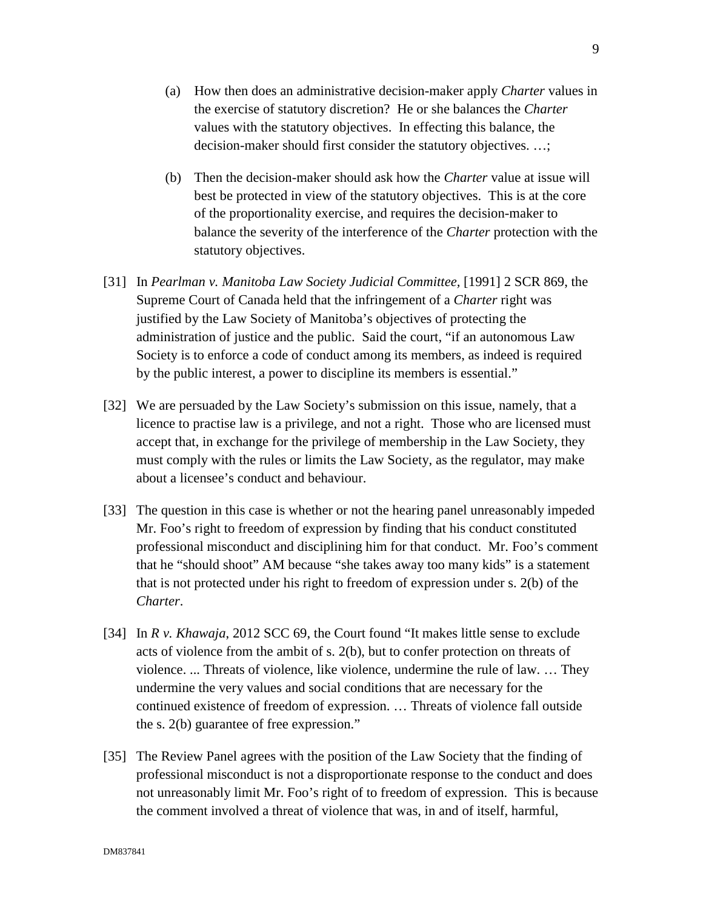- (a) How then does an administrative decision-maker apply *Charter* values in the exercise of statutory discretion? He or she balances the *Charter* values with the statutory objectives. In effecting this balance, the decision-maker should first consider the statutory objectives. ...;
- (b) Then the decision-maker should ask how the *Charter* value at issue will best be protected in view of the statutory objectives. This is at the core of the proportionality exercise, and requires the decision-maker to balance the severity of the interference of the *Charter* protection with the statutory objectives.
- [31] In *Pearlman v. Manitoba Law Society Judicial Committee,* [1991] 2 SCR 869, the Supreme Court of Canada held that the infringement of a *Charter* right was justified by the Law Society of Manitoba's objectives of protecting the administration of justice and the public. Said the court, "if an autonomous Law Society is to enforce a code of conduct among its members, as indeed is required by the public interest, a power to discipline its members is essential."
- [32] We are persuaded by the Law Society's submission on this issue, namely, that a licence to practise law is a privilege, and not a right. Those who are licensed must accept that, in exchange for the privilege of membership in the Law Society, they must comply with the rules or limits the Law Society, as the regulator, may make about a licensee's conduct and behaviour.
- [33] The question in this case is whether or not the hearing panel unreasonably impeded Mr. Foo's right to freedom of expression by finding that his conduct constituted professional misconduct and disciplining him for that conduct. Mr. Foo's comment that he "should shoot" AM because "she takes away too many kids" is a statement that is not protected under his right to freedom of expression under s. 2(b) of the *Charter*.
- [34] In *R v. Khawaja*, 2012 SCC 69, the Court found "It makes little sense to exclude acts of violence from the ambit of s. 2(b), but to confer protection on threats of violence. ... Threats of violence, like violence, undermine the rule of law. … They undermine the very values and social conditions that are necessary for the continued existence of freedom of expression. … Threats of violence fall outside the s. 2(b) guarantee of free expression."
- [35] The Review Panel agrees with the position of the Law Society that the finding of professional misconduct is not a disproportionate response to the conduct and does not unreasonably limit Mr. Foo's right of to freedom of expression. This is because the comment involved a threat of violence that was, in and of itself, harmful,